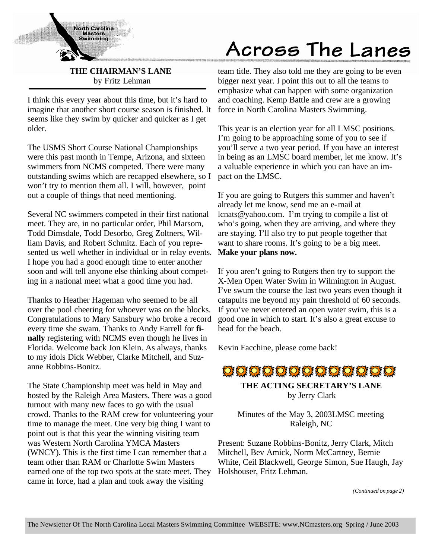

**THE CHAIRMAN'S LANE** by Fritz Lehman

I think this every year about this time, but it's hard to imagine that another short course season is finished. It seems like they swim by quicker and quicker as I get older.

The USMS Short Course National Championships were this past month in Tempe, Arizona, and sixteen swimmers from NCMS competed. There were many outstanding swims which are recapped elsewhere, so I won't try to mention them all. I will, however, point out a couple of things that need mentioning.

Several NC swimmers competed in their first national meet. They are, in no particular order, Phil Marsom, Todd Dimsdale, Todd Desorbo, Greg Zoltners, William Davis, and Robert Schmitz. Each of you represented us well whether in individual or in relay events. I hope you had a good enough time to enter another soon and will tell anyone else thinking about competing in a national meet what a good time you had.

Thanks to Heather Hageman who seemed to be all over the pool cheering for whoever was on the blocks. Congratulations to Mary Sansbury who broke a record every time she swam. Thanks to Andy Farrell for **finally** registering with NCMS even though he lives in Florida. Welcome back Jon Klein. As always, thanks to my idols Dick Webber, Clarke Mitchell, and Suzanne Robbins-Bonitz.

The State Championship meet was held in May and hosted by the Raleigh Area Masters. There was a good turnout with many new faces to go with the usual crowd. Thanks to the RAM crew for volunteering your time to manage the meet. One very big thing I want to point out is that this year the winning visiting team was Western North Carolina YMCA Masters (WNCY). This is the first time I can remember that a team other than RAM or Charlotte Swim Masters earned one of the top two spots at the state meet. They came in force, had a plan and took away the visiting

# Across The Lanes

team title. They also told me they are going to be even bigger next year. I point this out to all the teams to emphasize what can happen with some organization and coaching. Kemp Battle and crew are a growing force in North Carolina Masters Swimming.

This year is an election year for all LMSC positions. I'm going to be approaching some of you to see if you'll serve a two year period. If you have an interest in being as an LMSC board member, let me know. It's a valuable experience in which you can have an impact on the LMSC.

If you are going to Rutgers this summer and haven't already let me know, send me an e-mail at lcnats@yahoo.com. I'm trying to compile a list of who's going, when they are arriving, and where they are staying. I'll also try to put people together that want to share rooms. It's going to be a big meet. **Make your plans now.**

If you aren't going to Rutgers then try to support the X-Men Open Water Swim in Wilmington in August. I've swum the course the last two years even though it catapults me beyond my pain threshold of 60 seconds. If you've never entered an open water swim, this is a good one in which to start. It's also a great excuse to head for the beach.

Kevin Facchine, please come back!



**THE ACTING SECRETARY'S LANE** by Jerry Clark

Minutes of the May 3, 2003LMSC meeting Raleigh, NC

Present: Suzane Robbins-Bonitz, Jerry Clark, Mitch Mitchell, Bev Amick, Norm McCartney, Bernie White, Ceil Blackwell, George Simon, Sue Haugh, Jay Holshouser, Fritz Lehman.

*(Continued on page 2)*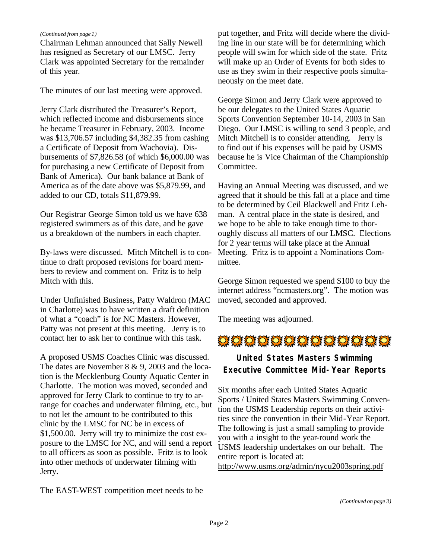#### *(Continued from page 1)*

Chairman Lehman announced that Sally Newell has resigned as Secretary of our LMSC. Jerry Clark was appointed Secretary for the remainder of this year.

The minutes of our last meeting were approved.

Jerry Clark distributed the Treasurer's Report, which reflected income and disbursements since he became Treasurer in February, 2003. Income was \$13,706.57 including \$4,382.35 from cashing a Certificate of Deposit from Wachovia). Disbursements of \$7,826.58 (of which \$6,000.00 was for purchasing a new Certificate of Deposit from Bank of America). Our bank balance at Bank of America as of the date above was \$5,879.99, and added to our CD, totals \$11,879.99.

Our Registrar George Simon told us we have 638 registered swimmers as of this date, and he gave us a breakdown of the numbers in each chapter.

By-laws were discussed. Mitch Mitchell is to continue to draft proposed revisions for board members to review and comment on. Fritz is to help Mitch with this.

Under Unfinished Business, Patty Waldron (MAC in Charlotte) was to have written a draft definition of what a "coach" is for NC Masters. However, Patty was not present at this meeting. Jerry is to contact her to ask her to continue with this task.

A proposed USMS Coaches Clinic was discussed. The dates are November 8 & 9, 2003 and the location is the Mecklenburg County Aquatic Center in Charlotte. The motion was moved, seconded and approved for Jerry Clark to continue to try to arrange for coaches and underwater filming, etc., but to not let the amount to be contributed to this clinic by the LMSC for NC be in excess of \$1,500.00. Jerry will try to minimize the cost exposure to the LMSC for NC, and will send a report to all officers as soon as possible. Fritz is to look into other methods of underwater filming with Jerry.

The EAST-WEST competition meet needs to be

put together, and Fritz will decide where the dividing line in our state will be for determining which people will swim for which side of the state. Fritz will make up an Order of Events for both sides to use as they swim in their respective pools simultaneously on the meet date.

George Simon and Jerry Clark were approved to be our delegates to the United States Aquatic Sports Convention September 10-14, 2003 in San Diego. Our LMSC is willing to send 3 people, and Mitch Mitchell is to consider attending. Jerry is to find out if his expenses will be paid by USMS because he is Vice Chairman of the Championship Committee.

Having an Annual Meeting was discussed, and we agreed that it should be this fall at a place and time to be determined by Ceil Blackwell and Fritz Lehman. A central place in the state is desired, and we hope to be able to take enough time to thoroughly discuss all matters of our LMSC. Elections for 2 year terms will take place at the Annual Meeting. Fritz is to appoint a Nominations Committee.

George Simon requested we spend \$100 to buy the internet address "ncmasters.org". The motion was moved, seconded and approved.

The meeting was adjourned.

## OFOLLO FOLLO DE LE DE LE DE LE DE

## **United States Masters Swimming Executive Committee Mid-Year Reports**

Six months after each United States Aquatic Sports / United States Masters Swimming Convention the USMS Leadership reports on their activities since the convention in their Mid-Year Report. The following is just a small sampling to provide you with a insight to the year-round work the USMS leadership undertakes on our behalf. The entire report is located at: http://www.usms.org/admin/nycu2003spring.pdf

*(Continued on page 3)*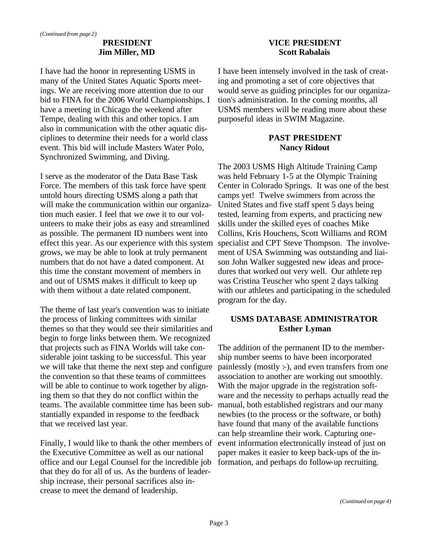## **PRESIDENT Jim Miller, MD**

I have had the honor in representing USMS in many of the United States Aquatic Sports meetings. We are receiving more attention due to our bid to FINA for the 2006 World Championships. I have a meeting in Chicago the weekend after Tempe, dealing with this and other topics. I am also in communication with the other aquatic disciplines to determine their needs for a world class event. This bid will include Masters Water Polo, Synchronized Swimming, and Diving.

I serve as the moderator of the Data Base Task Force. The members of this task force have spent untold hours directing USMS along a path that will make the communication within our organization much easier. I feel that we owe it to our volunteers to make their jobs as easy and streamlined as possible. The permanent ID numbers went into effect this year. As our experience with this system grows, we may be able to look at truly permanent numbers that do not have a dated component. At this time the constant movement of members in and out of USMS makes it difficult to keep up with them without a date related component.

The theme of last year's convention was to initiate the process of linking committees with similar themes so that they would see their similarities and begin to forge links between them. We recognized that projects such as FINA Worlds will take considerable joint tasking to be successful. This year we will take that theme the next step and configure the convention so that these teams of committees will be able to continue to work together by aligning them so that they do not conflict within the teams. The available committee time has been substantially expanded in response to the feedback that we received last year.

Finally, I would like to thank the other members of the Executive Committee as well as our national office and our Legal Counsel for the incredible job that they do for all of us. As the burdens of leadership increase, their personal sacrifices also increase to meet the demand of leadership.

## **VICE PRESIDENT Scott Rabalais**

I have been intensely involved in the task of creating and promoting a set of core objectives that would serve as guiding principles for our organization's administration. In the coming months, all USMS members will be reading more about these purposeful ideas in SWIM Magazine.

## **PAST PRESIDENT Nancy Ridout**

The 2003 USMS High Altitude Training Camp was held February 1-5 at the Olympic Training Center in Colorado Springs. It was one of the best camps yet! Twelve swimmers from across the United States and five staff spent 5 days being tested, learning from experts, and practicing new skills under the skilled eyes of coaches Mike Collins, Kris Houchens, Scott Williams and ROM specialist and CPT Steve Thompson. The involvement of USA Swimming was outstanding and liaison John Walker suggested new ideas and procedures that worked out very well. Our athlete rep was Cristina Teuscher who spent 2 days talking with our athletes and participating in the scheduled program for the day.

## **USMS DATABASE ADMINISTRATOR Esther Lyman**

The addition of the permanent ID to the membership number seems to have been incorporated painlessly (mostly :-), and even transfers from one association to another are working out smoothly. With the major upgrade in the registration software and the necessity to perhaps actually read the manual, both established registrars and our many newbies (to the process or the software, or both) have found that many of the available functions can help streamline their work. Capturing oneevent information electronically instead of just on paper makes it easier to keep back-ups of the information, and perhaps do follow-up recruiting.

*(Continued on page 4)*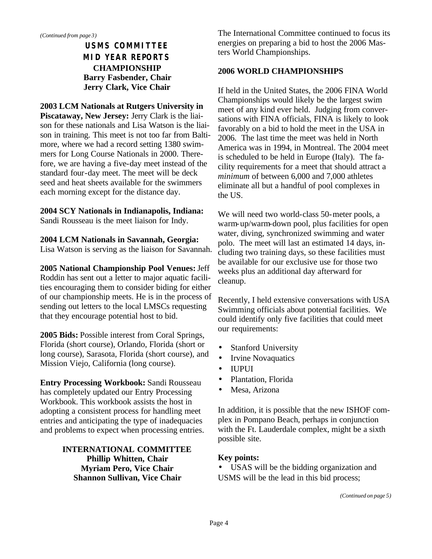## **USMS COMMITTEE MID YEAR REPORTS CHAMPIONSHIP Barry Fasbender, Chair Jerry Clark, Vice Chair**

#### **2003 LCM Nationals at Rutgers University in Piscataway, New Jersey:** Jerry Clark is the liai-

son for these nationals and Lisa Watson is the liaison in training. This meet is not too far from Baltimore, where we had a record setting 1380 swimmers for Long Course Nationals in 2000. Therefore, we are having a five-day meet instead of the standard four-day meet. The meet will be deck seed and heat sheets available for the swimmers each morning except for the distance day.

## **2004 SCY Nationals in Indianapolis, Indiana:**

Sandi Rousseau is the meet liaison for Indy.

## **2004 LCM Nationals in Savannah, Georgia:**

Lisa Watson is serving as the liaison for Savannah.

**2005 National Championship Pool Venues:** Jeff Roddin has sent out a letter to major aquatic facilities encouraging them to consider biding for either of our championship meets. He is in the process of sending out letters to the local LMSCs requesting that they encourage potential host to bid.

**2005 Bids:** Possible interest from Coral Springs, Florida (short course), Orlando, Florida (short or long course), Sarasota, Florida (short course), and Mission Viejo, California (long course).

**Entry Processing Workbook:** Sandi Rousseau has completely updated our Entry Processing Workbook. This workbook assists the host in adopting a consistent process for handling meet entries and anticipating the type of inadequacies and problems to expect when processing entries.

## **INTERNATIONAL COMMITTEE Phillip Whitten, Chair Myriam Pero, Vice Chair Shannon Sullivan, Vice Chair**

The International Committee continued to focus its energies on preparing a bid to host the 2006 Masters World Championships.

## **2006 WORLD CHAMPIONSHIPS**

If held in the United States, the 2006 FINA World Championships would likely be the largest swim meet of any kind ever held. Judging from conversations with FINA officials, FINA is likely to look favorably on a bid to hold the meet in the USA in 2006. The last time the meet was held in North America was in 1994, in Montreal. The 2004 meet is scheduled to be held in Europe (Italy). The facility requirements for a meet that should attract a *minimum* of between 6,000 and 7,000 athletes eliminate all but a handful of pool complexes in the US.

We will need two world-class 50-meter pools, a warm-up/warm-down pool, plus facilities for open water, diving, synchronized swimming and water polo. The meet will last an estimated 14 days, including two training days, so these facilities must be available for our exclusive use for those two weeks plus an additional day afterward for cleanup.

Recently, I held extensive conversations with USA Swimming officials about potential facilities. We could identify only five facilities that could meet our requirements:

- Stanford University
- Irvine Novaquatics
- IUPUI
- Plantation, Florida
- Mesa, Arizona

In addition, it is possible that the new ISHOF complex in Pompano Beach, perhaps in conjunction with the Ft. Lauderdale complex, might be a sixth possible site.

## **Key points:**

• USAS will be the bidding organization and USMS will be the lead in this bid process;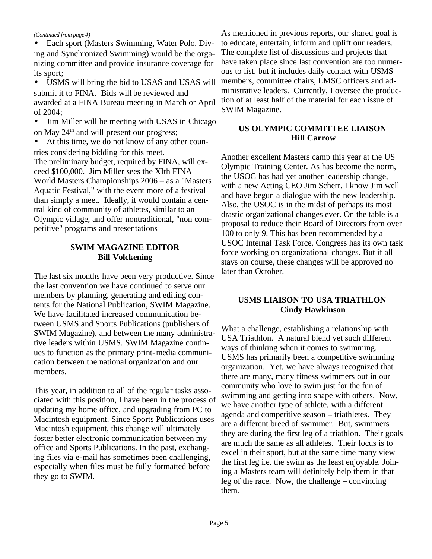#### *(Continued from page 4)*

• Each sport (Masters Swimming, Water Polo, Diving and Synchronized Swimming) would be the organizing committee and provide insurance coverage for its sport;

• USMS will bring the bid to USAS and USAS will submit it to FINA. Bids will be reviewed and awarded at a FINA Bureau meeting in March or April of 2004;

• Jim Miller will be meeting with USAS in Chicago on May  $24<sup>th</sup>$  and will present our progress;

At this time, we do not know of any other countries considering bidding for this meet. The preliminary budget, required by FINA, will exceed \$100,000. Jim Miller sees the XIth FINA World Masters Championships 2006 – as a "Masters Aquatic Festival," with the event more of a festival than simply a meet. Ideally, it would contain a central kind of community of athletes, similar to an Olympic village, and offer nontraditional, "non competitive" programs and presentations

#### **SWIM MAGAZINE EDITOR Bill Volckening**

The last six months have been very productive. Since the last convention we have continued to serve our members by planning, generating and editing contents for the National Publication, SWIM Magazine. We have facilitated increased communication between USMS and Sports Publications (publishers of SWIM Magazine), and between the many administrative leaders within USMS. SWIM Magazine continues to function as the primary print-media communication between the national organization and our members.

This year, in addition to all of the regular tasks associated with this position, I have been in the process of updating my home office, and upgrading from PC to Macintosh equipment. Since Sports Publications uses Macintosh equipment, this change will ultimately foster better electronic communication between my office and Sports Publications. In the past, exchanging files via e-mail has sometimes been challenging, especially when files must be fully formatted before they go to SWIM.

As mentioned in previous reports, our shared goal is to educate, entertain, inform and uplift our readers. The complete list of discussions and projects that have taken place since last convention are too numerous to list, but it includes daily contact with USMS members, committee chairs, LMSC officers and administrative leaders. Currently, I oversee the production of at least half of the material for each issue of SWIM Magazine.

## **US OLYMPIC COMMITTEE LIAISON Hill Carrow**

Another excellent Masters camp this year at the US Olympic Training Center. As has become the norm, the USOC has had yet another leadership change, with a new Acting CEO Jim Scherr. I know Jim well and have begun a dialogue with the new leadership. Also, the USOC is in the midst of perhaps its most drastic organizational changes ever. On the table is a proposal to reduce their Board of Directors from over 100 to only 9. This has been recommended by a USOC Internal Task Force. Congress has its own task force working on organizational changes. But if all stays on course, these changes will be approved no later than October.

## **USMS LIAISON TO USA TRIATHLON Cindy Hawkinson**

What a challenge, establishing a relationship with USA Triathlon. A natural blend yet such different ways of thinking when it comes to swimming. USMS has primarily been a competitive swimming organization. Yet, we have always recognized that there are many, many fitness swimmers out in our community who love to swim just for the fun of swimming and getting into shape with others. Now, we have another type of athlete, with a different agenda and competitive season – triathletes. They are a different breed of swimmer. But, swimmers they are during the first leg of a triathlon. Their goals are much the same as all athletes. Their focus is to excel in their sport, but at the same time many view the first leg i.e. the swim as the least enjoyable. Joining a Masters team will definitely help them in that leg of the race. Now, the challenge – convincing them.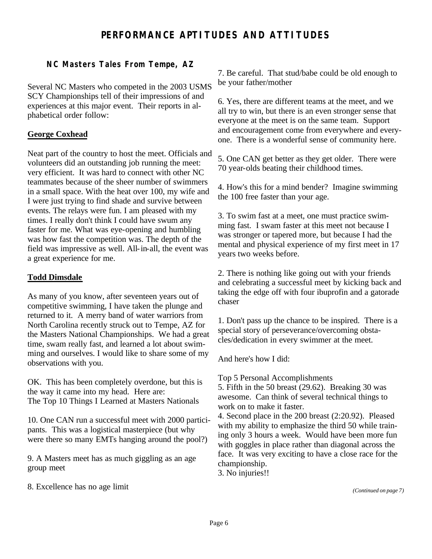## **PERFORMANCE APTITUDES AND ATTITUDES**

## **NC Masters Tales From Tempe, AZ**

Several NC Masters who competed in the 2003 USMS SCY Championships tell of their impressions of and experiences at this major event. Their reports in alphabetical order follow:

## **George Coxhead**

Neat part of the country to host the meet. Officials and volunteers did an outstanding job running the meet: very efficient. It was hard to connect with other NC teammates because of the sheer number of swimmers in a small space. With the heat over 100, my wife and I were just trying to find shade and survive between events. The relays were fun. I am pleased with my times. I really don't think I could have swum any faster for me. What was eye-opening and humbling was how fast the competition was. The depth of the field was impressive as well. All-in-all, the event was a great experience for me.

#### **Todd Dimsdale**

As many of you know, after seventeen years out of competitive swimming, I have taken the plunge and returned to it. A merry band of water warriors from North Carolina recently struck out to Tempe, AZ for the Masters National Championships. We had a great time, swam really fast, and learned a lot about swimming and ourselves. I would like to share some of my observations with you.

OK. This has been completely overdone, but this is the way it came into my head. Here are: The Top 10 Things I Learned at Masters Nationals

10. One CAN run a successful meet with 2000 participants. This was a logistical masterpiece (but why were there so many EMTs hanging around the pool?)

9. A Masters meet has as much giggling as an age group meet

8. Excellence has no age limit

7. Be careful. That stud/babe could be old enough to be your father/mother

6. Yes, there are different teams at the meet, and we all try to win, but there is an even stronger sense that everyone at the meet is on the same team. Support and encouragement come from everywhere and everyone. There is a wonderful sense of community here.

5. One CAN get better as they get older. There were 70 year-olds beating their childhood times.

4. How's this for a mind bender? Imagine swimming the 100 free faster than your age.

3. To swim fast at a meet, one must practice swimming fast. I swam faster at this meet not because I was stronger or tapered more, but because I had the mental and physical experience of my first meet in 17 years two weeks before.

2. There is nothing like going out with your friends and celebrating a successful meet by kicking back and taking the edge off with four ibuprofin and a gatorade chaser

1. Don't pass up the chance to be inspired. There is a special story of perseverance/overcoming obstacles/dedication in every swimmer at the meet.

And here's how I did:

Top 5 Personal Accomplishments

5. Fifth in the 50 breast (29.62). Breaking 30 was awesome. Can think of several technical things to work on to make it faster.

4. Second place in the 200 breast (2:20.92). Pleased with my ability to emphasize the third 50 while training only 3 hours a week. Would have been more fun with goggles in place rather than diagonal across the face. It was very exciting to have a close race for the championship.

3. No injuries!!

*(Continued on page 7)*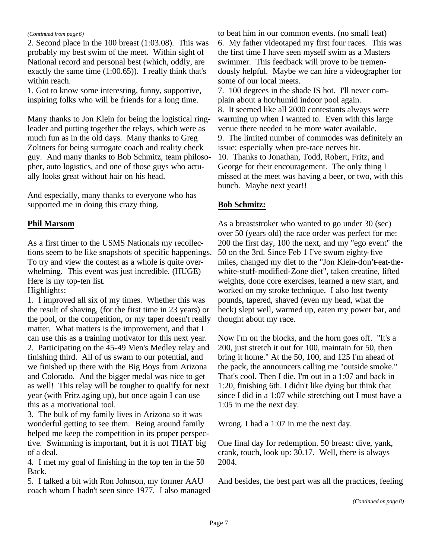#### *(Continued from page 6)*

2. Second place in the 100 breast (1:03.08). This was probably my best swim of the meet. Within sight of National record and personal best (which, oddly, are exactly the same time (1:00.65)). I really think that's within reach.

1. Got to know some interesting, funny, supportive, inspiring folks who will be friends for a long time.

Many thanks to Jon Klein for being the logistical ringleader and putting together the relays, which were as much fun as in the old days. Many thanks to Greg Zoltners for being surrogate coach and reality check guy. And many thanks to Bob Schmitz, team philosopher, auto logistics, and one of those guys who actually looks great without hair on his head.

And especially, many thanks to everyone who has supported me in doing this crazy thing.

## **Phil Marsom**

As a first timer to the USMS Nationals my recollections seem to be like snapshots of specific happenings. To try and view the contest as a whole is quite overwhelming. This event was just incredible. (HUGE) Here is my top-ten list.

Highlights:

1. I improved all six of my times. Whether this was the result of shaving, (for the first time in 23 years) or the pool, or the competition, or my taper doesn't really matter. What matters is the improvement, and that I can use this as a training motivator for this next year. 2. Participating on the 45-49 Men's Medley relay and finishing third. All of us swam to our potential, and we finished up there with the Big Boys from Arizona and Colorado. And the bigger medal was nice to get as well! This relay will be tougher to qualify for next year (with Fritz aging up), but once again I can use this as a motivational tool.

3. The bulk of my family lives in Arizona so it was wonderful getting to see them. Being around family helped me keep the competition in its proper perspective. Swimming is important, but it is not THAT big of a deal.

4. I met my goal of finishing in the top ten in the 50 Back.

5. I talked a bit with Ron Johnson, my former AAU coach whom I hadn't seen since 1977. I also managed to beat him in our common events. (no small feat) 6. My father videotaped my first four races. This was the first time I have seen myself swim as a Masters swimmer. This feedback will prove to be tremendously helpful. Maybe we can hire a videographer for some of our local meets.

7. 100 degrees in the shade IS hot. I'll never complain about a hot/humid indoor pool again. 8. It seemed like all 2000 contestants always were warming up when I wanted to. Even with this large venue there needed to be more water available. 9. The limited number of commodes was definitely an issue; especially when pre-race nerves hit. 10. Thanks to Jonathan, Todd, Robert, Fritz, and George for their encouragement. The only thing I missed at the meet was having a beer, or two, with this bunch. Maybe next year!!

## **Bob Schmitz:**

As a breaststroker who wanted to go under 30 (sec) over 50 (years old) the race order was perfect for me: 200 the first day, 100 the next, and my "ego event" the 50 on the 3rd. Since Feb 1 I've swum eighty-five miles, changed my diet to the "Jon Klein-don't-eat-thewhite-stuff-modified-Zone diet", taken creatine, lifted weights, done core exercises, learned a new start, and worked on my stroke technique. I also lost twenty pounds, tapered, shaved (even my head, what the heck) slept well, warmed up, eaten my power bar, and thought about my race.

Now I'm on the blocks, and the horn goes off. "It's a 200, just stretch it out for 100, maintain for 50, then bring it home." At the 50, 100, and 125 I'm ahead of the pack, the announcers calling me "outside smoke." That's cool. Then I die. I'm out in a 1:07 and back in 1:20, finishing 6th. I didn't like dying but think that since I did in a 1:07 while stretching out I must have a 1:05 in me the next day.

Wrong. I had a 1:07 in me the next day.

One final day for redemption. 50 breast: dive, yank, crank, touch, look up: 30.17. Well, there is always 2004.

And besides, the best part was all the practices, feeling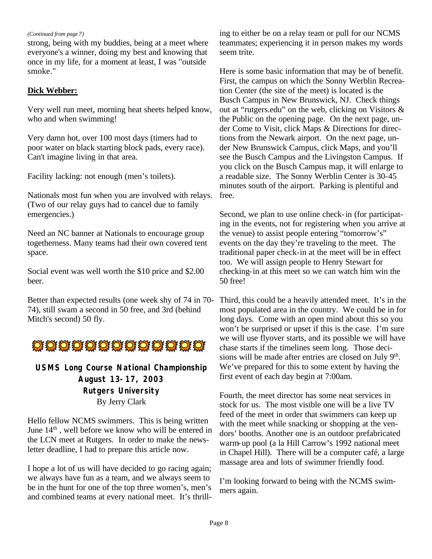*(Continued from page 7)*

strong, being with my buddies, being at a meet where everyone's a winner, doing my best and knowing that once in my life, for a moment at least, I was "outside smoke."

## **Dick Webber:**

Very well run meet, morning heat sheets helped know, who and when swimming!

Very damn hot, over 100 most days (timers had to poor water on black starting block pads, every race). Can't imagine living in that area.

Facility lacking: not enough (men's toilets).

Nationals most fun when you are involved with relays. (Two of our relay guys had to cancel due to family emergencies.)

Need an NC banner at Nationals to encourage group togetherness. Many teams had their own covered tent space.

Social event was well worth the \$10 price and \$2.00 beer.

Better than expected results (one week shy of 74 in 70- 74), still swam a second in 50 free, and 3rd (behind Mitch's second) 50 fly.



## **USMS Long Course National Championship August 13-17, 2003 Rutgers University** By Jerry Clark

Hello fellow NCMS swimmers. This is being written June  $14<sup>th</sup>$ , well before we know who will be entered in the LCN meet at Rutgers. In order to make the newsletter deadline, I had to prepare this article now.

I hope a lot of us will have decided to go racing again; we always have fun as a team, and we always seem to be in the hunt for one of the top three women's, men's and combined teams at every national meet. It's thrilling to either be on a relay team or pull for our NCMS teammates; experiencing it in person makes my words seem trite.

Here is some basic information that may be of benefit. First, the campus on which the Sonny Werblin Recreation Center (the site of the meet) is located is the Busch Campus in New Brunswick, NJ. Check things out at "rutgers.edu" on the web, clicking on Visitors & the Public on the opening page. On the next page, under Come to Visit, click Maps & Directions for directions from the Newark airport. On the next page, under New Brunswick Campus, click Maps, and you'll see the Busch Campus and the Livingston Campus. If you click on the Busch Campus map, it will enlarge to a readable size. The Sonny Werblin Center is 30-45 minutes south of the airport. Parking is plentiful and free.

Second, we plan to use online check-in (for participating in the events, not for registering when you arrive at the venue) to assist people entering "tomorrow's" events on the day they're traveling to the meet. The traditional paper check-in at the meet will be in effect too. We will assign people to Henry Stewart for checking-in at this meet so we can watch him win the 50 free!

Third, this could be a heavily attended meet. It's in the most populated area in the country. We could be in for long days. Come with an open mind about this so you won't be surprised or upset if this is the case. I'm sure we will use flyover starts, and its possible we will have chase starts if the timelines seem long. Those decisions will be made after entries are closed on July  $9<sup>th</sup>$ . We've prepared for this to some extent by having the first event of each day begin at 7:00am.

Fourth, the meet director has some neat services in stock for us. The most visible one will be a live TV feed of the meet in order that swimmers can keep up with the meet while snacking or shopping at the vendors' booths. Another one is an outdoor prefabricated warm-up pool (a la Hill Carrow's 1992 national meet in Chapel Hill). There will be a computer café, a large massage area and lots of swimmer friendly food.

I'm looking forward to being with the NCMS swimmers again.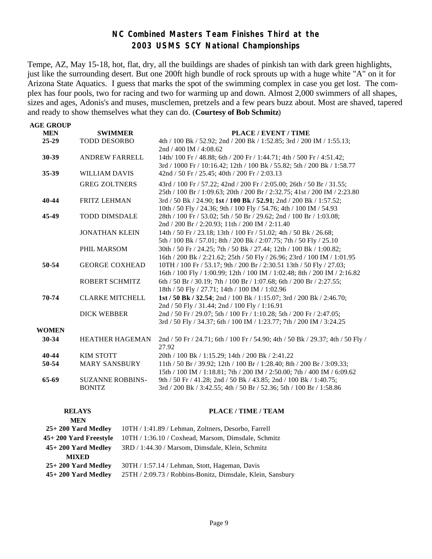## **NC Combined Masters Team Finishes Third at the 2003 USMS SCY National Championships**

Tempe, AZ, May 15-18, hot, flat, dry, all the buildings are shades of pinkish tan with dark green highlights, just like the surrounding desert. But one 200ft high bundle of rock sprouts up with a huge white "A" on it for Arizona State Aquatics. I guess that marks the spot of the swimming complex in case you get lost. The complex has four pools, two for racing and two for warming up and down. Almost 2,000 swimmers of all shapes, sizes and ages, Adonis's and muses, musclemen, pretzels and a few pears buzz about. Most are shaved, tapered and ready to show themselves what they can do. (**Courtesy of Bob Schmitz**)

| <b>AGE GROUP</b> |                         |                                                                                |
|------------------|-------------------------|--------------------------------------------------------------------------------|
| <b>MEN</b>       | <b>SWIMMER</b>          | PLACE / EVENT / TIME                                                           |
| $25 - 29$        | <b>TODD DESORBO</b>     | 4th / 100 Bk / 52.92; 2nd / 200 Bk / 1:52.85; 3rd / 200 IM / 1:55.13;          |
|                  |                         | 2nd / 400 IM / 4:08.62                                                         |
| 30-39            | <b>ANDREW FARRELL</b>   | 14th/100 Fr / 48.88; 6th / 200 Fr / 1:44.71; 4th / 500 Fr / 4:51.42;           |
|                  |                         | 3rd / 1000 Fr / 10:16.42; 12th / 100 Bk / 55.82; 5th / 200 Bk / 1:58.77        |
| 35-39            | WILLIAM DAVIS           | 42nd / 50 Fr / 25.45; 40th / 200 Fr / 2:03.13                                  |
|                  | <b>GREG ZOLTNERS</b>    | 43rd / 100 Fr / 57.22; 42nd / 200 Fr / 2:05.00; 26th / 50 Br / 31.55;          |
|                  |                         | 25th / 100 Br / 1:09.63; 20th / 200 Br / 2:32.75; 41st / 200 IM / 2:23.80      |
| 40-44            | <b>FRITZ LEHMAN</b>     | 3rd / 50 Bk / 24.90; 1st / 100 Bk / 52.91; 2nd / 200 Bk / 1:57.52;             |
|                  |                         | 10th / 50 Fly / 24.36; 9th / 100 Fly / 54.76; 4th / 100 IM / 54.93             |
| 45-49            | <b>TODD DIMSDALE</b>    | 28th / 100 Fr / 53.02; 5th / 50 Br / 29.62; 2nd / 100 Br / 1:03.08;            |
|                  |                         | 2nd / 200 Br / 2:20.93; 11th / 200 IM / 2:11.40                                |
|                  | <b>JONATHAN KLEIN</b>   | 14th / 50 Fr / 23.18; 13th / 100 Fr / 51.02; 4th / 50 Bk / 26.68;              |
|                  |                         | 5th / 100 Bk / 57.01; 8th / 200 Bk / 2:07.75; 7th / 50 Fly / 25.10             |
|                  | PHIL MARSOM             | 30th / 50 Fr / 24.25; 7th / 50 Bk / 27.44; 12th / 100 Bk / 1:00.82;            |
|                  |                         | 16th / 200 Bk / 2:21.62; 25th / 50 Fly / 26.96; 23rd / 100 IM / 1:01.95        |
| 50-54            | <b>GEORGE COXHEAD</b>   | 10TH / 100 Fr / 53.17; 9th / 200 Br / 2:30.51 13th / 50 Fly / 27.03;           |
|                  |                         | 16th / 100 Fly / 1:00.99; 12th / 100 IM / 1:02.48; 8th / 200 IM / 2:16.82      |
|                  | ROBERT SCHMITZ          | 6th / 50 Br / 30.19; 7th / 100 Br / 1:07.68; 6th / 200 Br / 2:27.55;           |
|                  |                         | 18th / 50 Fly / 27.71; 14th / 100 IM / 1:02.96                                 |
| 70-74            | <b>CLARKE MITCHELL</b>  | 1st / 50 Bk / 32.54; 2nd / 100 Bk / 1:15.07; 3rd / 200 Bk / 2:46.70;           |
|                  |                         | 2nd / 50 Fly / 31.44; 2nd / 100 Fly / 1:16.91                                  |
|                  | <b>DICK WEBBER</b>      | 2nd / 50 Fr / 29.07; 5th / 100 Fr / 1:10.28; 5th / 200 Fr / 2:47.05;           |
|                  |                         | 3rd / 50 Fly / 34.37; 6th / 100 IM / 1:23.77; 7th / 200 IM / 3:24.25           |
| <b>WOMEN</b>     |                         |                                                                                |
| 30-34            | <b>HEATHER HAGEMAN</b>  | 2nd / 50 Fr / 24.71; 6th / 100 Fr / 54.90; 4th / 50 Bk / 29.37; 4th / 50 Fly / |
|                  |                         | 27.92                                                                          |
| 40-44            | KIM STOTT               | 20th / 100 Bk / 1:15.29; 14th / 200 Bk / 2:41.22                               |
| 50-54            | <b>MARY SANSBURY</b>    | 11th / 50 Br / 39.92; 12th / 100 Br / 1:28.40; 8th / 200 Br / 3:09.33;         |
|                  |                         | 15th / 100 IM / 1:18.81; 7th / 200 IM / 2:50.00; 7th / 400 IM / 6:09.62        |
| 65-69            | <b>SUZANNE ROBBINS-</b> | 9th / 50 Fr / 41.28; 2nd / 50 Bk / 43.85; 2nd / 100 Bk / 1:40.75;              |
|                  | <b>BONITZ</b>           | 3rd / 200 Bk / 3:42.55; 4th / 50 Br / 52.36; 5th / 100 Br / 1:58.86            |
|                  |                         |                                                                                |

| <b>RELAYS</b>          | PLACE / TIME / TEAM                                        |
|------------------------|------------------------------------------------------------|
| <b>MEN</b>             |                                                            |
| $25+200$ Yard Medley   | 10TH / 1:41.89 / Lehman, Zoltners, Desorbo, Farrell        |
| 45+ 200 Yard Freestyle | 10TH / 1:36.10 / Coxhead, Marsom, Dimsdale, Schmitz        |
| $45+200$ Yard Medley   | 3RD / 1:44.30 / Marsom, Dimsdale, Klein, Schmitz           |
| <b>MIXED</b>           |                                                            |
| $25+200$ Yard Medlev   | 30TH / 1:57.14 / Lehman, Stott, Hageman, Davis             |
| $45+200$ Yard Medley   | 25TH / 2:09.73 / Robbins-Bonitz, Dimsdale, Klein, Sansbury |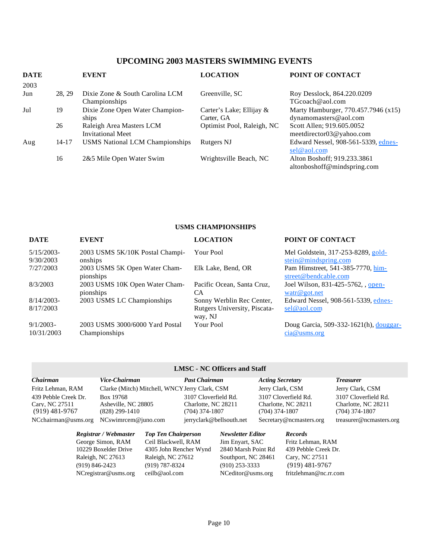## **UPCOMING 2003 MASTERS SWIMMING EVENTS**

| <b>DATE</b><br>2003 |           | <b>EVENT</b>                                         | <b>LOCATION</b>                        | <b>POINT OF CONTACT</b>                                      |
|---------------------|-----------|------------------------------------------------------|----------------------------------------|--------------------------------------------------------------|
| Jun                 | 28, 29    | Dixie Zone & South Carolina LCM<br>Championships     | Greenville, SC                         | Roy Desslock, 864.220.0209<br>TGcoach@aol.com                |
| Jul                 | 19        | Dixie Zone Open Water Champion-<br>ships             | Carter's Lake; Ellijay &<br>Carter, GA | Marty Hamburger, 770.457.7946 (x15)<br>dynamomasters@aol.com |
|                     | 26        | Raleigh Area Masters LCM<br><b>Invitational Meet</b> | Optimist Pool, Raleigh, NC             | Scott Allen; 919.605.0052<br>meetdirector03@yahoo.com        |
| Aug                 | $14 - 17$ | <b>USMS National LCM Championships</b>               | Rutgers NJ                             | Edward Nessel, 908-561-5339, ednes-<br>sel@aol.com           |
|                     | 16        | 2&5 Mile Open Water Swim                             | Wrightsville Beach, NC                 | Alton Boshoff; 919.233.3861<br>altonboshoff@mindspring.com   |

#### **USMS CHAMPIONSHIPS**

| <b>DATE</b>                | <b>EVENT</b>                                     | <b>LOCATION</b>                         | POINT OF CONTACT                                             |
|----------------------------|--------------------------------------------------|-----------------------------------------|--------------------------------------------------------------|
| 5/15/2003<br>9/30/2003     | 2003 USMS 5K/10K Postal Champi-<br>onships       | Your Pool                               | Mel Goldstein, 317-253-8289, gold-<br>stein@mindspring.com   |
| 7/27/2003                  | 2003 USMS 5K Open Water Cham-<br>pionships       | Elk Lake, Bend, OR                      | Pam Himstreet, 541-385-7770, him-<br>street@bendcable.com    |
| 8/3/2003                   | 2003 USMS 10K Open Water Cham-<br>pionships      | Pacific Ocean, Santa Cruz,<br>СA        | Joel Wilson, 831-425-5762, , open-<br>$\text{watr}@$ got.net |
| $8/14/2003$ -              | 2003 USMS LC Championships                       | Sonny Werblin Rec Center,               | Edward Nessel, 908-561-5339, ednes-                          |
| 8/17/2003                  |                                                  | Rutgers University, Piscata-<br>way, NJ | sel@aol.com                                                  |
| $9/1/2003 -$<br>10/31/2003 | 2003 USMS 3000/6000 Yard Postal<br>Championships | Your Pool                               | Doug Garcia, 509-332-1621(h), douggar-<br>cia@ums.org        |

#### **LMSC - NC Officers and Staff**

| Chairman                                                   | Vice-Chairman                                      |                            | <b>Past Chairman</b>                                          |                          | <b>Acting Secretary</b> |                                             | <b>Treasurer</b>                                              |
|------------------------------------------------------------|----------------------------------------------------|----------------------------|---------------------------------------------------------------|--------------------------|-------------------------|---------------------------------------------|---------------------------------------------------------------|
| Fritz Lehman, RAM                                          | Clarke (Mitch) Mitchell, WNCY Jerry Clark, CSM     |                            |                                                               |                          |                         | Jerry Clark, CSM                            | Jerry Clark, CSM                                              |
| 439 Pebble Creek Dr.<br>Cary, NC 27511<br>$(919)$ 481-9767 | Box 19768<br>Asheville, NC 28805<br>(828) 299-1410 |                            | 3107 Cloverfield Rd.<br>Charlotte, NC 28211<br>(704) 374-1807 |                          | (704) 374-1807          | 3107 Cloverfield Rd.<br>Charlotte, NC 28211 | 3107 Cloverfield Rd.<br>Charlotte, NC 28211<br>(704) 374-1807 |
| NCchairman@usms.org                                        | $NCswim$ cem $@juno.com$                           |                            |                                                               | jerryclark@bellsouth.net |                         | Secretary@ncmasters.org                     | treasurer@ncmasters.org                                       |
|                                                            | Registrar / Webmaster                              | <b>Top Ten Chairperson</b> |                                                               | <b>Newsletter Editor</b> |                         | <b>Records</b>                              |                                                               |
|                                                            | George Simon, RAM                                  | Ceil Blackwell, RAM        |                                                               | Jim Enyart, SAC          |                         | Fritz Lehman, RAM                           |                                                               |
|                                                            | 10229 Boxelder Drive                               | 4305 John Rencher Wynd     |                                                               | 2840 Marsh Point Rd      |                         | 439 Pebble Creek Dr.                        |                                                               |
|                                                            | Raleigh, NC 27613                                  | Raleigh, NC 27612          |                                                               | Southport, NC 28461      |                         | Cary, NC 27511                              |                                                               |
| (919) 846-2423                                             |                                                    | $(919) 787 - 8324$         |                                                               | $(910)$ 253-3333         |                         | $(919)$ 481-9767                            |                                                               |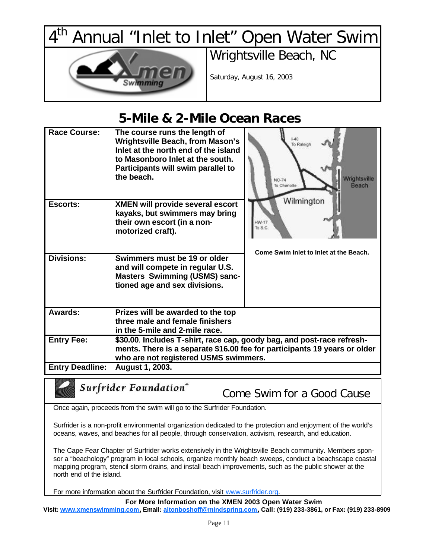$4^{\overline{th}}$ Annual "Inlet to Inlet" Open Water Swim



Wrightsville Beach, NC

Saturday, August 16, 2003

# **5-Mile & 2-Mile Ocean Races**

| <b>Race Course:</b>    | The course runs the length of<br><b>Wrightsville Beach, from Mason's</b><br>Inlet at the north end of the island<br>to Masonboro Inlet at the south.<br>Participants will swim parallel to<br>the beach. | 1.40<br>To Raleigh<br>Wrightsville<br><b>NC-74</b><br>Beach<br>To Charlotte |  |
|------------------------|----------------------------------------------------------------------------------------------------------------------------------------------------------------------------------------------------------|-----------------------------------------------------------------------------|--|
| <b>Escorts:</b>        | <b>XMEN will provide several escort</b><br>kayaks, but swimmers may bring<br>their own escort (in a non-<br>motorized craft).                                                                            | Wilmington<br>HW-17<br>To S.C.<br>Come Swim Inlet to Inlet at the Beach.    |  |
| <b>Divisions:</b>      | Swimmers must be 19 or older<br>and will compete in regular U.S.<br><b>Masters Swimming (USMS) sanc-</b><br>tioned age and sex divisions.                                                                |                                                                             |  |
| Awards:                | Prizes will be awarded to the top<br>three male and female finishers<br>in the 5-mile and 2-mile race.                                                                                                   |                                                                             |  |
| <b>Entry Fee:</b>      | \$30.00. Includes T-shirt, race cap, goody bag, and post-race refresh-<br>ments. There is a separate \$16.00 fee for participants 19 years or older<br>who are not registered USMS swimmers.             |                                                                             |  |
| <b>Entry Deadline:</b> | August 1, 2003.                                                                                                                                                                                          |                                                                             |  |
|                        |                                                                                                                                                                                                          |                                                                             |  |

Surfrider Foundation®

Come Swim for a Good Cause

Once again, proceeds from the swim will go to the Surfrider Foundation.

Surfrider is a non-profit environmental organization dedicated to the protection and enjoyment of the world's oceans, waves, and beaches for all people, through conservation, activism, research, and education.

The Cape Fear Chapter of Surfrider works extensively in the Wrightsville Beach community. Members sponsor a "beachology" program in local schools, organize monthly beach sweeps, conduct a beachscape coastal mapping program, stencil storm drains, and install beach improvements, such as the public shower at the north end of the island.

For more information about the Surfrider Foundation, visit www.surfrider.org.

**For More Information on the XMEN 2003 Open Water Swim Visit: www.xmenswimming.com, Email: altonboshoff@mindspring.com, Call: (919) 233-3861, or Fax: (919) 233-8909**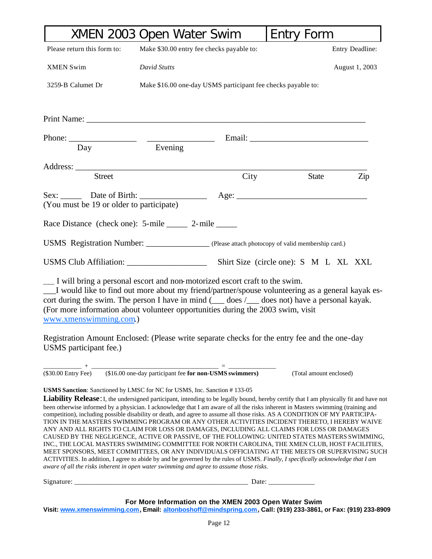|                                                                                                                                                                                                                                                                                                                                                                                                                                                                                                                                                                                                                                                                                                                                                                                                                                                                                                                                                                                                                                                                                                                                                                                                                                  | XMEN 2003 Open Water Swim                             |                                                              | <b>Entry Form</b>       |                 |
|----------------------------------------------------------------------------------------------------------------------------------------------------------------------------------------------------------------------------------------------------------------------------------------------------------------------------------------------------------------------------------------------------------------------------------------------------------------------------------------------------------------------------------------------------------------------------------------------------------------------------------------------------------------------------------------------------------------------------------------------------------------------------------------------------------------------------------------------------------------------------------------------------------------------------------------------------------------------------------------------------------------------------------------------------------------------------------------------------------------------------------------------------------------------------------------------------------------------------------|-------------------------------------------------------|--------------------------------------------------------------|-------------------------|-----------------|
| Please return this form to:                                                                                                                                                                                                                                                                                                                                                                                                                                                                                                                                                                                                                                                                                                                                                                                                                                                                                                                                                                                                                                                                                                                                                                                                      | Make \$30.00 entry fee checks payable to:             |                                                              |                         | Entry Deadline: |
| <b>XMEN Swim</b>                                                                                                                                                                                                                                                                                                                                                                                                                                                                                                                                                                                                                                                                                                                                                                                                                                                                                                                                                                                                                                                                                                                                                                                                                 | David Stutts                                          |                                                              |                         | August 1, 2003  |
| 3259-B Calumet Dr                                                                                                                                                                                                                                                                                                                                                                                                                                                                                                                                                                                                                                                                                                                                                                                                                                                                                                                                                                                                                                                                                                                                                                                                                |                                                       | Make \$16.00 one-day USMS participant fee checks payable to: |                         |                 |
|                                                                                                                                                                                                                                                                                                                                                                                                                                                                                                                                                                                                                                                                                                                                                                                                                                                                                                                                                                                                                                                                                                                                                                                                                                  |                                                       |                                                              |                         |                 |
| Phone:<br>Day                                                                                                                                                                                                                                                                                                                                                                                                                                                                                                                                                                                                                                                                                                                                                                                                                                                                                                                                                                                                                                                                                                                                                                                                                    | Evening                                               |                                                              |                         |                 |
|                                                                                                                                                                                                                                                                                                                                                                                                                                                                                                                                                                                                                                                                                                                                                                                                                                                                                                                                                                                                                                                                                                                                                                                                                                  |                                                       |                                                              |                         |                 |
| Street                                                                                                                                                                                                                                                                                                                                                                                                                                                                                                                                                                                                                                                                                                                                                                                                                                                                                                                                                                                                                                                                                                                                                                                                                           |                                                       | City                                                         | <b>State</b>            | Zip             |
| (You must be 19 or older to participate)                                                                                                                                                                                                                                                                                                                                                                                                                                                                                                                                                                                                                                                                                                                                                                                                                                                                                                                                                                                                                                                                                                                                                                                         |                                                       |                                                              |                         |                 |
| Race Distance (check one): 5-mile _______ 2-mile ______                                                                                                                                                                                                                                                                                                                                                                                                                                                                                                                                                                                                                                                                                                                                                                                                                                                                                                                                                                                                                                                                                                                                                                          |                                                       |                                                              |                         |                 |
| USMS Registration Number: _______________ (Please attach photocopy of valid membership card.)                                                                                                                                                                                                                                                                                                                                                                                                                                                                                                                                                                                                                                                                                                                                                                                                                                                                                                                                                                                                                                                                                                                                    |                                                       |                                                              |                         |                 |
|                                                                                                                                                                                                                                                                                                                                                                                                                                                                                                                                                                                                                                                                                                                                                                                                                                                                                                                                                                                                                                                                                                                                                                                                                                  |                                                       |                                                              |                         |                 |
| I would like to find out more about my friend/partner/spouse volunteering as a general kayak es-<br>cort during the swim. The person I have in mind $($ $)$ does $/$ $)$ does not) have a personal kayak.<br>(For more information about volunteer opportunities during the 2003 swim, visit<br>www.xmenswimming.com.)<br>Registration Amount Enclosed: (Please write separate checks for the entry fee and the one-day<br>USMS participant fee.)                                                                                                                                                                                                                                                                                                                                                                                                                                                                                                                                                                                                                                                                                                                                                                                |                                                       |                                                              |                         |                 |
| $\frac{1}{(\$30.00 \text{ Entry} \text{ fee})}$ + $\frac{1}{(\$16.00 \text{ one-day participant fee for non-USMS swimmers})}$                                                                                                                                                                                                                                                                                                                                                                                                                                                                                                                                                                                                                                                                                                                                                                                                                                                                                                                                                                                                                                                                                                    |                                                       |                                                              | (Total amount enclosed) |                 |
| <b>USMS Sanction:</b> Sanctioned by LMSC for NC for USMS, Inc. Sanction #133-05<br>Liability Release: I, the undersigned participant, intending to be legally bound, hereby certify that I am physically fit and have not<br>been otherwise informed by a physician. I acknowledge that I am aware of all the risks inherent in Masters swimming (training and<br>competition), including possible disability or death, and agree to assume all those risks. AS A CONDITION OF MY PARTICIPA-<br>TION IN THE MASTERS SWIMMING PROGRAM OR ANY OTHER ACTIVITIES INCIDENT THERETO, I HEREBY WAIVE<br>ANY AND ALL RIGHTS TO CLAIM FOR LOSS OR DAMAGES, INCLUDING ALL CLAIMS FOR LOSS OR DAMAGES<br>CAUSED BY THE NEGLIGENCE, ACTIVE OR PASSIVE, OF THE FOLLOWING: UNITED STATES MASTERS SWIMMING,<br>INC., THE LOCAL MASTERS SWIMMING COMMITTEE FOR NORTH CAROLINA, THE XMEN CLUB, HOST FACILITIES,<br>MEET SPONSORS, MEET COMMITTEES, OR ANY INDIVIDUALS OFFICIATING AT THE MEETS OR SUPERVISING SUCH<br>ACTIVITIES. In addition, I agree to abide by and be governed by the rules of USMS. Finally, I specifically acknowledge that I am<br>aware of all the risks inherent in open water swimming and agree to assume those risks. |                                                       |                                                              |                         |                 |
|                                                                                                                                                                                                                                                                                                                                                                                                                                                                                                                                                                                                                                                                                                                                                                                                                                                                                                                                                                                                                                                                                                                                                                                                                                  |                                                       |                                                              |                         |                 |
| Visit: www.xmenswimming.com, Email: altonboshoff@mindspring.com, Call: (919) 233-3861, or Fax: (919) 233-8909                                                                                                                                                                                                                                                                                                                                                                                                                                                                                                                                                                                                                                                                                                                                                                                                                                                                                                                                                                                                                                                                                                                    | For More Information on the XMEN 2003 Open Water Swim |                                                              |                         |                 |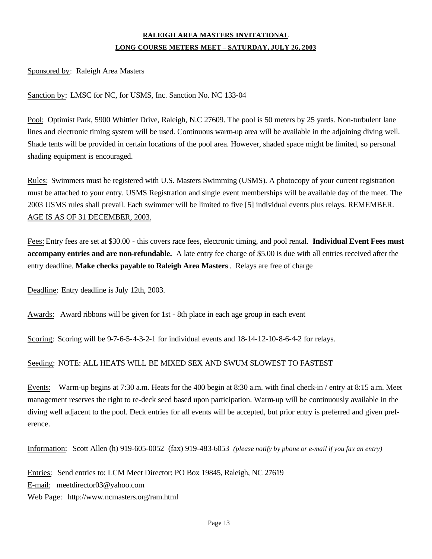## **RALEIGH AREA MASTERS INVITATIONAL LONG COURSE METERS MEET – SATURDAY, JULY 26, 2003**

Sponsored by: Raleigh Area Masters

Sanction by: LMSC for NC, for USMS, Inc. Sanction No. NC 133-04

Pool: Optimist Park, 5900 Whittier Drive, Raleigh, N.C 27609. The pool is 50 meters by 25 yards. Non-turbulent lane lines and electronic timing system will be used. Continuous warm-up area will be available in the adjoining diving well. Shade tents will be provided in certain locations of the pool area. However, shaded space might be limited, so personal shading equipment is encouraged.

Rules: Swimmers must be registered with U.S. Masters Swimming (USMS). A photocopy of your current registration must be attached to your entry. USMS Registration and single event memberships will be available day of the meet. The 2003 USMS rules shall prevail. Each swimmer will be limited to five [5] individual events plus relays. REMEMBER. AGE IS AS OF 31 DECEMBER, 2003.

Fees: Entry fees are set at \$30.00 - this covers race fees, electronic timing, and pool rental. **Individual Event Fees must accompany entries and are non-refundable.** A late entry fee charge of \$5.00 is due with all entries received after the entry deadline. **Make checks payable to Raleigh Area Masters**. Relays are free of charge

Deadline: Entry deadline is July 12th, 2003.

Awards: Award ribbons will be given for 1st - 8th place in each age group in each event

Scoring: Scoring will be 9-7-6-5-4-3-2-1 for individual events and 18-14-12-10-8-6-4-2 for relays.

#### Seeding: NOTE: ALL HEATS WILL BE MIXED SEX AND SWUM SLOWEST TO FASTEST

Events: Warm-up begins at 7:30 a.m. Heats for the 400 begin at 8:30 a.m. with final check-in / entry at 8:15 a.m. Meet management reserves the right to re-deck seed based upon participation. Warm-up will be continuously available in the diving well adjacent to the pool. Deck entries for all events will be accepted, but prior entry is preferred and given preference.

Information: Scott Allen (h) 919-605-0052 (fax) 919-483-6053 *(please notify by phone or e-mail if you fax an entry)*

Entries: Send entries to: LCM Meet Director: PO Box 19845, Raleigh, NC 27619 E-mail: meetdirector03@yahoo.com Web Page: http://www.ncmasters.org/ram.html